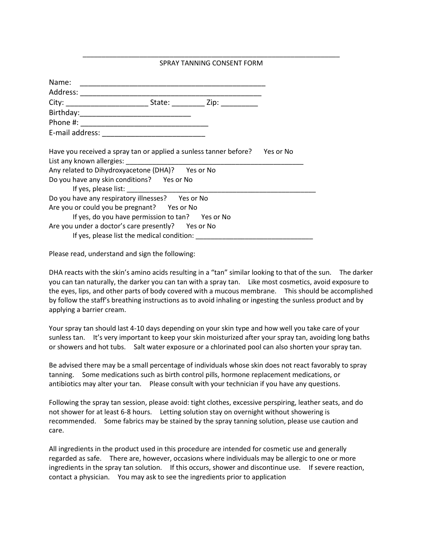## \_\_\_\_\_\_\_\_\_\_\_\_\_\_\_\_\_\_\_\_\_\_\_\_\_\_\_\_\_\_\_\_\_\_\_\_\_\_\_\_\_\_\_\_\_\_\_\_\_\_\_\_\_\_\_\_\_\_\_\_\_\_\_\_\_\_\_\_ SPRAY TANNING CONSENT FORM

| Name:                                                                       |  |  |  |  |
|-----------------------------------------------------------------------------|--|--|--|--|
|                                                                             |  |  |  |  |
|                                                                             |  |  |  |  |
|                                                                             |  |  |  |  |
|                                                                             |  |  |  |  |
|                                                                             |  |  |  |  |
| Have you received a spray tan or applied a sunless tanner before? Yes or No |  |  |  |  |
|                                                                             |  |  |  |  |
| Any related to Dihydroxyacetone (DHA)? Yes or No                            |  |  |  |  |
| Do you have any skin conditions? Yes or No                                  |  |  |  |  |
|                                                                             |  |  |  |  |
| Do you have any respiratory illnesses? Yes or No                            |  |  |  |  |
| Are you or could you be pregnant? Yes or No                                 |  |  |  |  |
| If yes, do you have permission to tan? Yes or No                            |  |  |  |  |
| Are you under a doctor's care presently? Yes or No                          |  |  |  |  |
| If yes, please list the medical condition:                                  |  |  |  |  |

Please read, understand and sign the following:

DHA reacts with the skin's amino acids resulting in a "tan" similar looking to that of the sun. The darker you can tan naturally, the darker you can tan with a spray tan. Like most cosmetics, avoid exposure to the eyes, lips, and other parts of body covered with a mucous membrane. This should be accomplished by follow the staff's breathing instructions as to avoid inhaling or ingesting the sunless product and by applying a barrier cream.

Your spray tan should last 4-10 days depending on your skin type and how well you take care of your sunless tan. It's very important to keep your skin moisturized after your spray tan, avoiding long baths or showers and hot tubs. Salt water exposure or a chlorinated pool can also shorten your spray tan.

Be advised there may be a small percentage of individuals whose skin does not react favorably to spray tanning. Some medications such as birth control pills, hormone replacement medications, or antibiotics may alter your tan. Please consult with your technician if you have any questions.

Following the spray tan session, please avoid: tight clothes, excessive perspiring, leather seats, and do not shower for at least 6-8 hours. Letting solution stay on overnight without showering is recommended. Some fabrics may be stained by the spray tanning solution, please use caution and care.

All ingredients in the product used in this procedure are intended for cosmetic use and generally regarded as safe. There are, however, occasions where individuals may be allergic to one or more ingredients in the spray tan solution. If this occurs, shower and discontinue use. If severe reaction, contact a physician. You may ask to see the ingredients prior to application